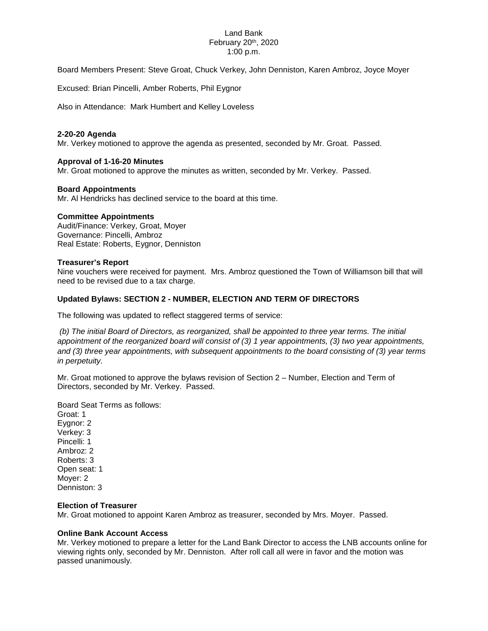## Land Bank February 20th, 2020 1:00 p.m.

Board Members Present: Steve Groat, Chuck Verkey, John Denniston, Karen Ambroz, Joyce Moyer

Excused: Brian Pincelli, Amber Roberts, Phil Eygnor

Also in Attendance: Mark Humbert and Kelley Loveless

## **2-20-20 Agenda**

Mr. Verkey motioned to approve the agenda as presented, seconded by Mr. Groat. Passed.

### **Approval of 1-16-20 Minutes**

Mr. Groat motioned to approve the minutes as written, seconded by Mr. Verkey. Passed.

### **Board Appointments**

Mr. Al Hendricks has declined service to the board at this time.

### **Committee Appointments**

Audit/Finance: Verkey, Groat, Moyer Governance: Pincelli, Ambroz Real Estate: Roberts, Eygnor, Denniston

#### **Treasurer's Report**

Nine vouchers were received for payment. Mrs. Ambroz questioned the Town of Williamson bill that will need to be revised due to a tax charge.

### **Updated Bylaws: SECTION 2 - NUMBER, ELECTION AND TERM OF DIRECTORS**

The following was updated to reflect staggered terms of service:

*(b) The initial Board of Directors, as reorganized, shall be appointed to three year terms. The initial appointment of the reorganized board will consist of (3) 1 year appointments, (3) two year appointments, and (3) three year appointments, with subsequent appointments to the board consisting of (3) year terms in perpetuity.* 

Mr. Groat motioned to approve the bylaws revision of Section 2 – Number, Election and Term of Directors, seconded by Mr. Verkey. Passed.

Board Seat Terms as follows: Groat: 1 Eygnor: 2 Verkey: 3 Pincelli: 1 Ambroz: 2 Roberts: 3 Open seat: 1 Moyer: 2 Denniston: 3

### **Election of Treasurer**

Mr. Groat motioned to appoint Karen Ambroz as treasurer, seconded by Mrs. Moyer. Passed.

#### **Online Bank Account Access**

Mr. Verkey motioned to prepare a letter for the Land Bank Director to access the LNB accounts online for viewing rights only, seconded by Mr. Denniston. After roll call all were in favor and the motion was passed unanimously.